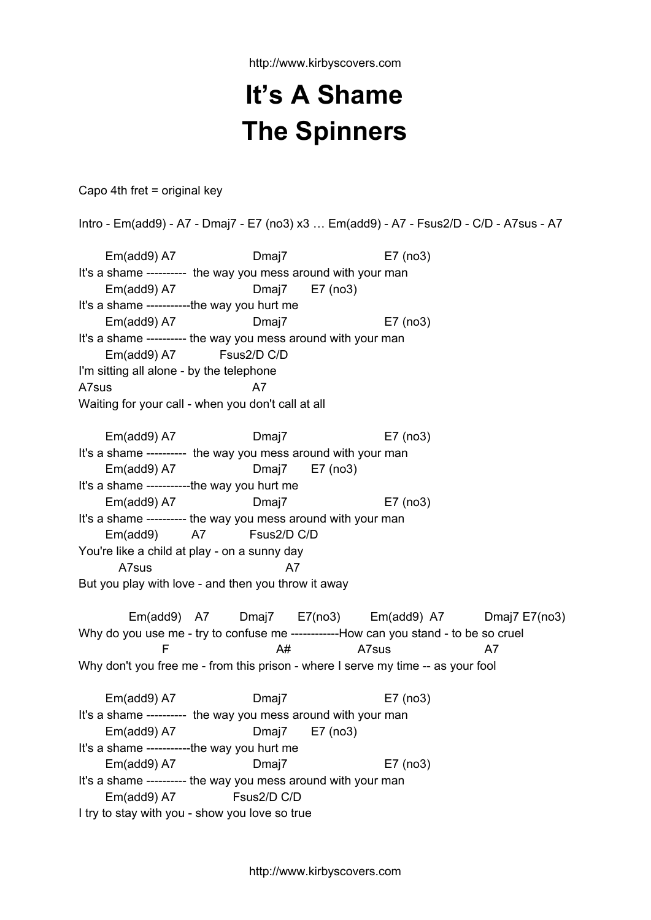http://www.kirbyscovers.com

## **It's A Shame The Spinners**

Capo 4th fret = original key

Intro - Em(add9) - A7 - Dmaj7 - E7 (no3) x3 … Em(add9) - A7 - Fsus2/D - C/D - A7sus - A7 Em(add9) A7 Dmaj7 E7 (no3) It's a shame ---------- the way you mess around with your man Em(add9) A7 Dmaj7 E7 (no3) It's a shame -----------the way you hurt me Em(add9) A7 Dmaj7 E7 (no3) It's a shame ---------- the way you mess around with your man Em(add9) A7 Fsus2/D C/D I'm sitting all alone - by the telephone A7sus A7 Waiting for your call - when you don't call at all Em(add9) A7 Dmaj7 E7 (no3) It's a shame ---------- the way you mess around with your man Em(add9) A7 Dmaj7 E7 (no3) It's a shame -----------the way you hurt me Em(add9) A7 Dmaj7 E7 (no3) It's a shame ---------- the way you mess around with your man Em(add9) A7 Fsus2/D C/D You're like a child at play - on a sunny day A7sus A7 But you play with love - and then you throw it away Em(add9) A7 Dmaj7 E7(no3) Em(add9) A7 Dmaj7 E7(no3) Why do you use me - try to confuse me ------------How can you stand - to be so cruel F A# A7sus A7 Why don't you free me - from this prison - where I serve my time -- as your fool Em(add9) A7 Dmaj7 E7 (no3) It's a shame ---------- the way you mess around with your man Em(add9) A7 Dmaj7 E7 (no3) It's a shame -----------the way you hurt me Em(add9) A7 Dmaj7 E7 (no3) It's a shame ---------- the way you mess around with your man Em(add9) A7 Fsus2/D C/D I try to stay with you - show you love so true